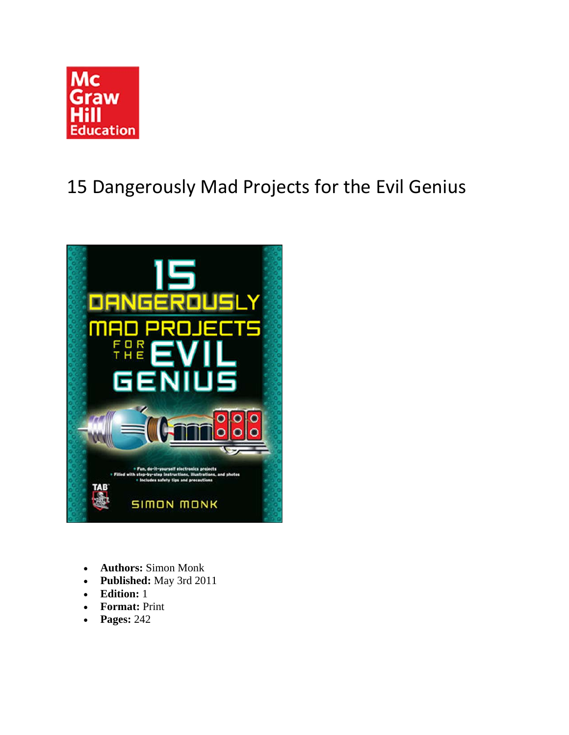

# 15 Dangerously Mad Projects for the Evil Genius



- **Authors:** Simon Monk
- **Published:** May 3rd 2011
- **Edition:** 1
- **Format:** Print
- **Pages:** 242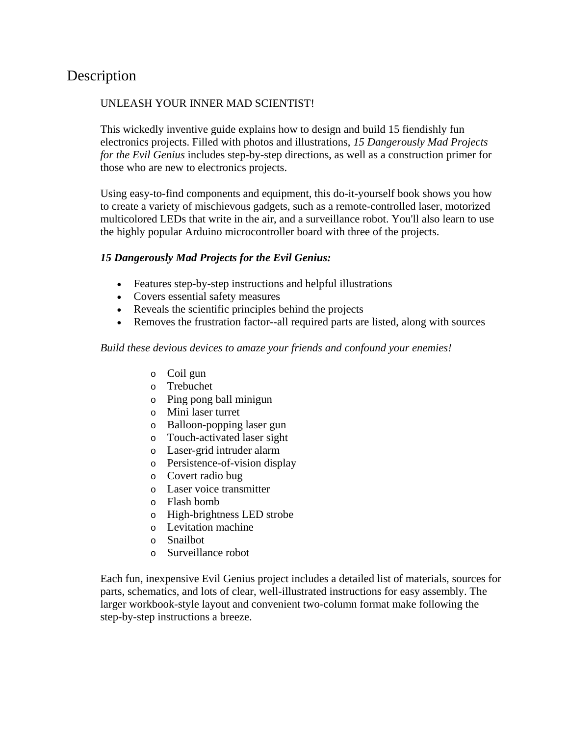## Description

#### UNLEASH YOUR INNER MAD SCIENTIST!

This wickedly inventive guide explains how to design and build 15 fiendishly fun electronics projects. Filled with photos and illustrations, *15 Dangerously Mad Projects for the Evil Genius* includes step-by-step directions, as well as a construction primer for those who are new to electronics projects.

Using easy-to-find components and equipment, this do-it-yourself book shows you how to create a variety of mischievous gadgets, such as a remote-controlled laser, motorized multicolored LEDs that write in the air, and a surveillance robot. You'll also learn to use the highly popular Arduino microcontroller board with three of the projects.

#### *15 Dangerously Mad Projects for the Evil Genius:*

- Features step-by-step instructions and helpful illustrations
- Covers essential safety measures
- Reveals the scientific principles behind the projects
- Removes the frustration factor--all required parts are listed, along with sources

#### *Build these devious devices to amaze your friends and confound your enemies!*

- o Coil gun
- o Trebuchet
- o Ping pong ball minigun
- o Mini laser turret
- o Balloon-popping laser gun
- o Touch-activated laser sight
- o Laser-grid intruder alarm
- o Persistence-of-vision display
- o Covert radio bug
- o Laser voice transmitter
- o Flash bomb
- o High-brightness LED strobe
- o Levitation machine
- o Snailbot
- o Surveillance robot

Each fun, inexpensive Evil Genius project includes a detailed list of materials, sources for parts, schematics, and lots of clear, well-illustrated instructions for easy assembly. The larger workbook-style layout and convenient two-column format make following the step-by-step instructions a breeze.